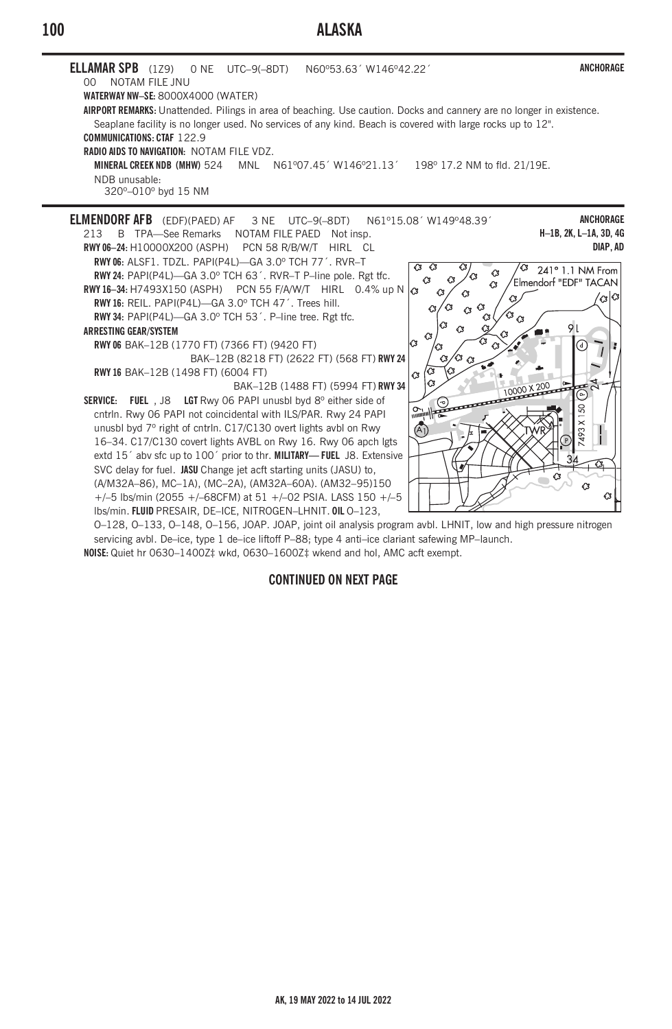## **100 ALASKA**



**NOISE:** Quiet hr 0630–1400Z‡ wkd, 0630–1600Z‡ wkend and hol, AMC acft exempt.

## **CONTINUED ON NEXT PAGE**